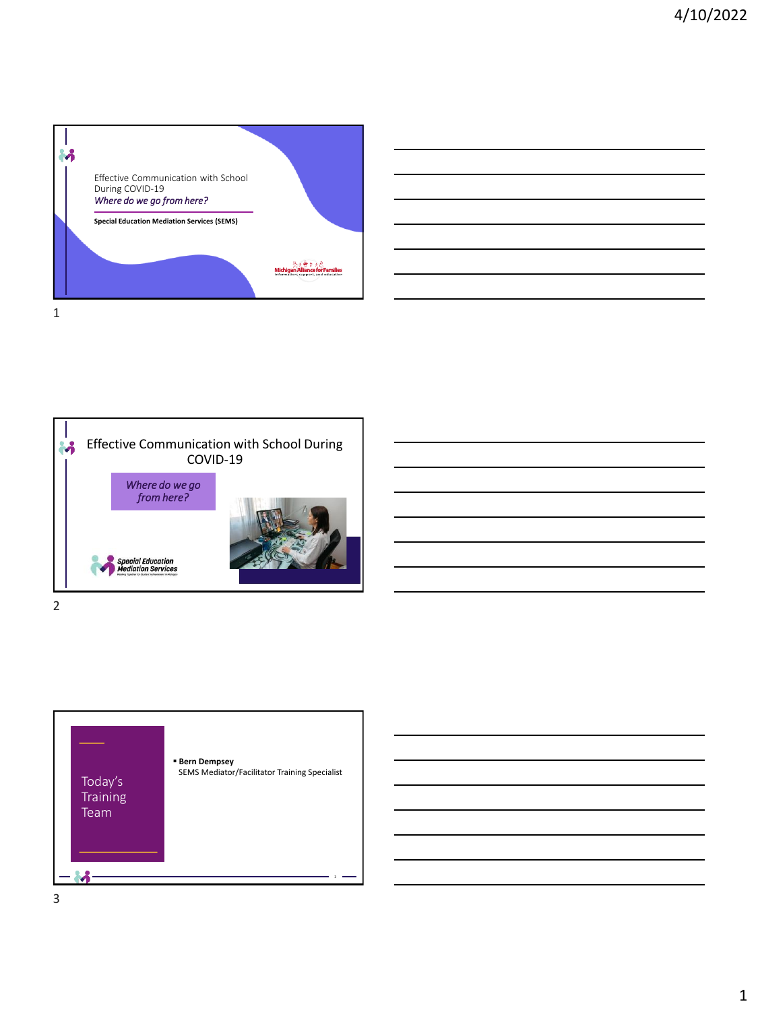





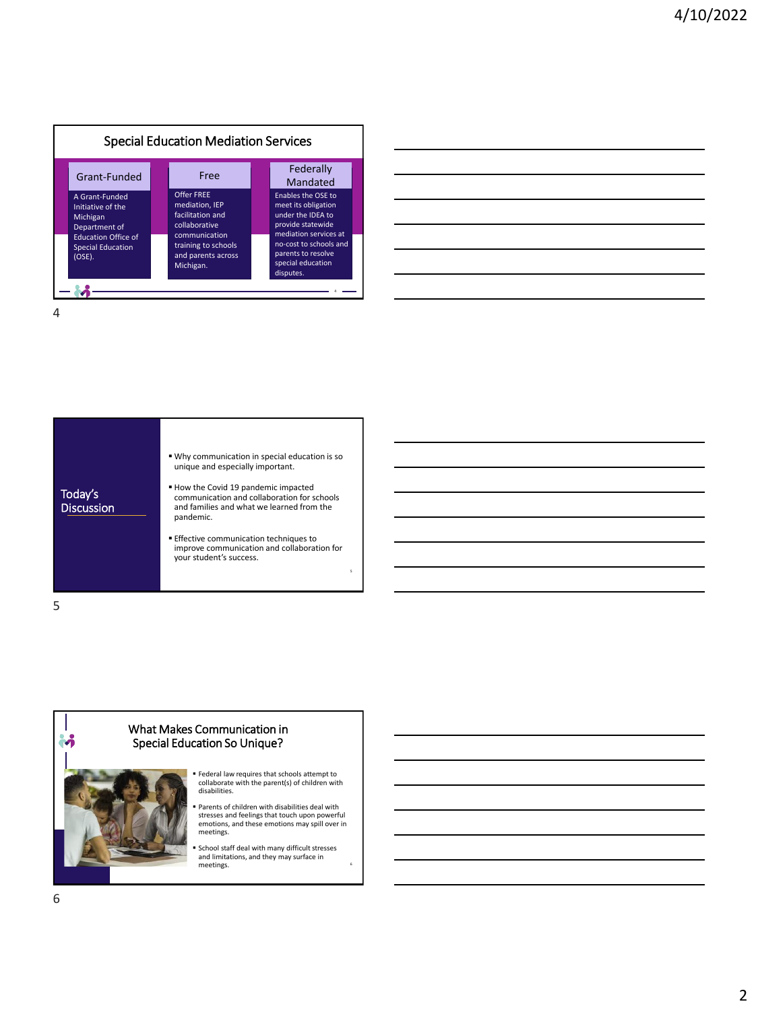

|                                                                                                                      |  | <u> 1989 - Johann Barn, amerikan bernama di sebagai bernama dan bernama di sebagai bernama di sebagai bernama di</u>   |
|----------------------------------------------------------------------------------------------------------------------|--|------------------------------------------------------------------------------------------------------------------------|
|                                                                                                                      |  | <u> 1989 - Andrea Andrew Maria (h. 1989).</u>                                                                          |
|                                                                                                                      |  | <u> 1989 - Johann Stoff, amerikansk politiker (* 1908)</u>                                                             |
|                                                                                                                      |  | <u> 1989 - Johann Barn, mars ann an t-Amhainn an t-Amhainn an t-Amhainn an t-Amhainn an t-Amhainn an t-Amhainn an </u> |
| <u> 1989 - Andrea Santa Andrea Andrea Andrea Andrea Andrea Andrea Andrea Andrea Andrea Andrea Andrea Andrea Andr</u> |  |                                                                                                                        |
|                                                                                                                      |  |                                                                                                                        |

L.



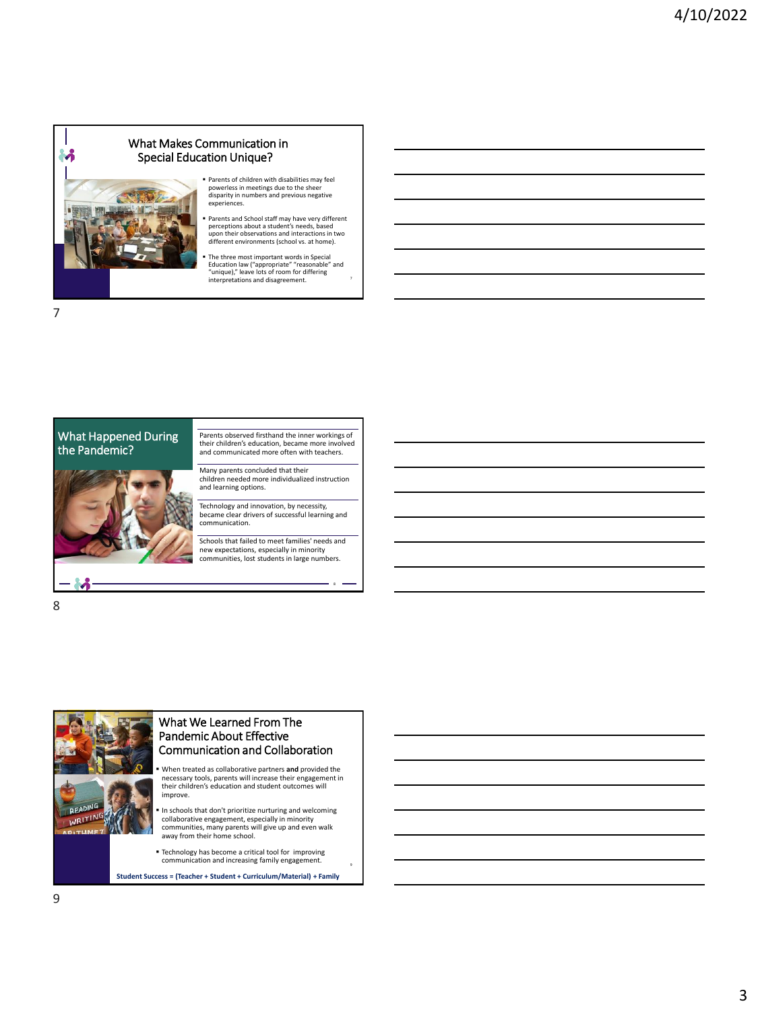## What Makes Communication in Special Education Unique?



## ■ Parents of children with disabilities may feel powerless in meetings due to the sheer disparity in numbers and previous negative experiences.

▪ Parents and School staff may have very different perceptions about a student's needs, based upon their observations and interactions in two different environments (school vs. at home).

▪ The three most important words in Special Education law ("appropriate" "reasonable" and "unique)," leave lots of room for differing interpretations and disagreement.

7

и



Parents observed firsthand the inner workings of their children's education, became more involved and communicated more often with teachers.

Many parents concluded that their children needed more individualized instruction and learning options.

Technology and innovation, by necessity, became clear drivers of successful learning and communication.

Schools that failed to meet families' needs and new expectations, especially in minority communities, lost students in large numbers.

8



## What We Learned From The Pandemic About Effective Communication and Collaboration

▪ When treated as collaborative partners **and** provided the necessary tools, parents will increase their engagement in their children's education and student outcomes will improve.

▪ In schools that don't prioritize nurturing and welcoming collaborative engagement, especially in minority communities, many parents will give up and even walk away from their home school.

9

▪ Technology has become a critical tool for improving communication and increasing family engagement.

**Student Success = (Teacher + Student + Curriculum/Material) + Family**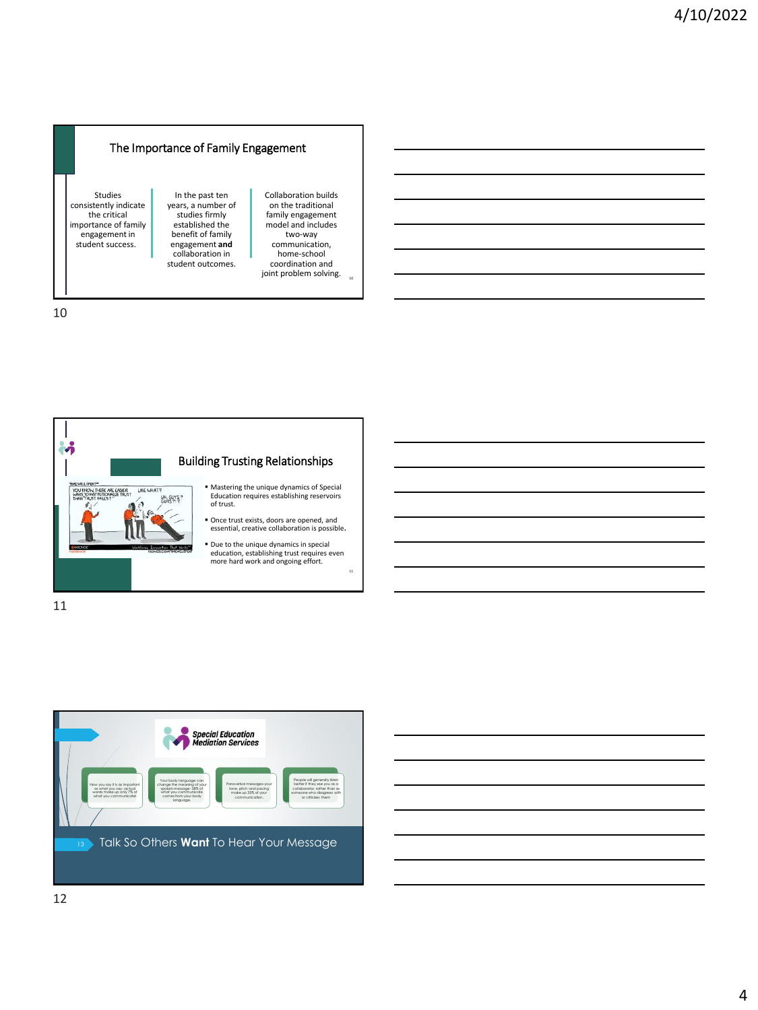

benefit of family engagement **and** collaboration in student outcomes. model and includes two-way communication, home-school coordination and joint problem solving.

<sub>10</sub>

10

engagement in student success.





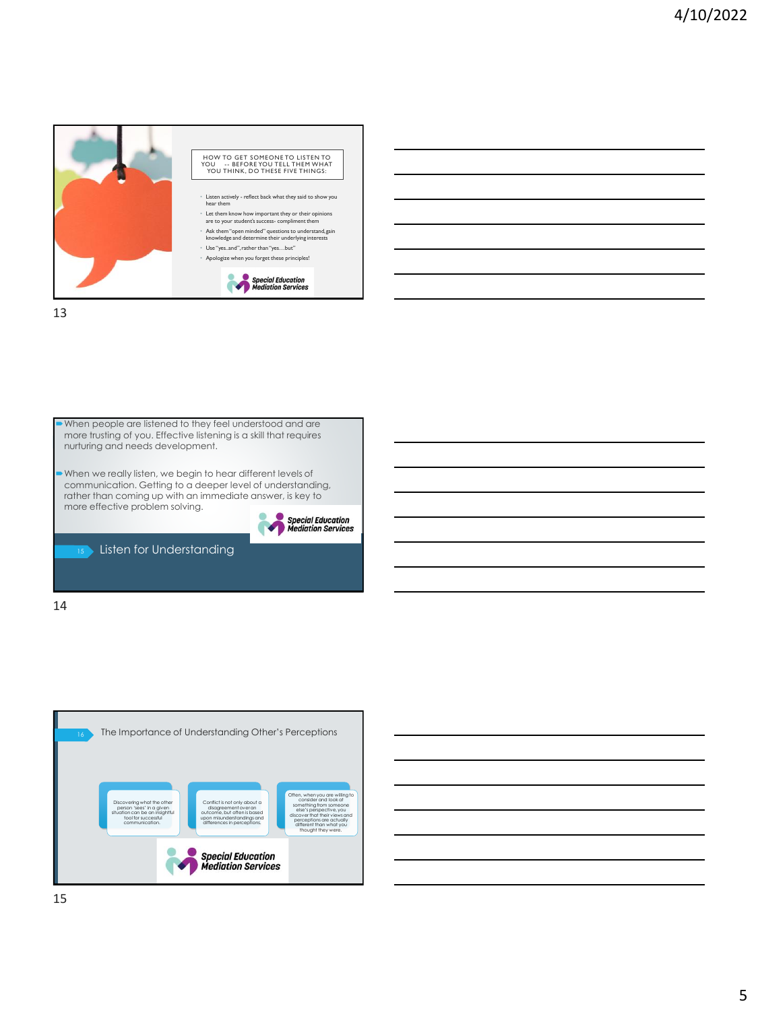



14



| <u> 1989 - Johann Barn, amerikansk politiker (d. 1989)</u> |                                                                                 |  |  |
|------------------------------------------------------------|---------------------------------------------------------------------------------|--|--|
|                                                            | the contract of the contract of the contract of the contract of the contract of |  |  |
|                                                            |                                                                                 |  |  |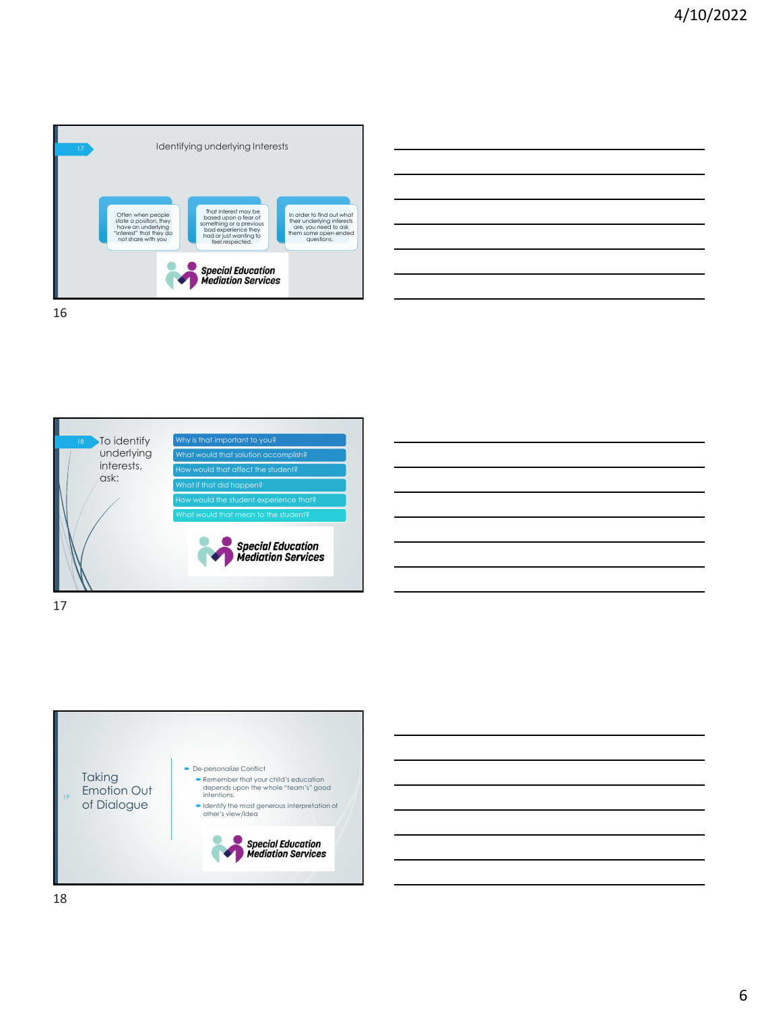





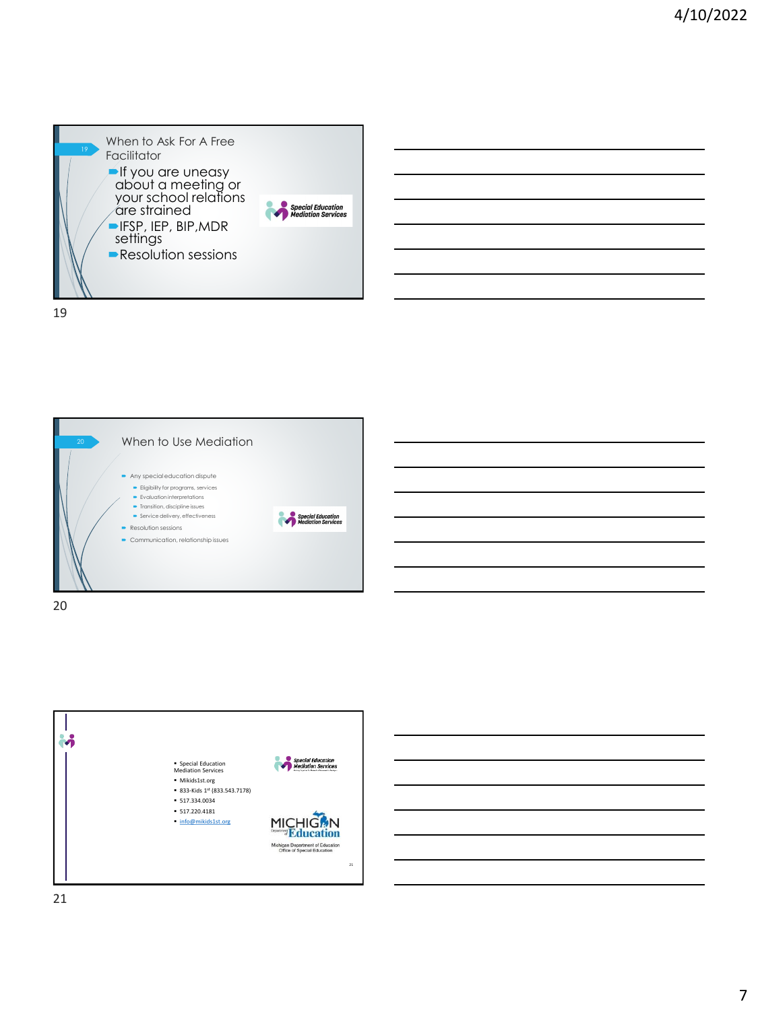



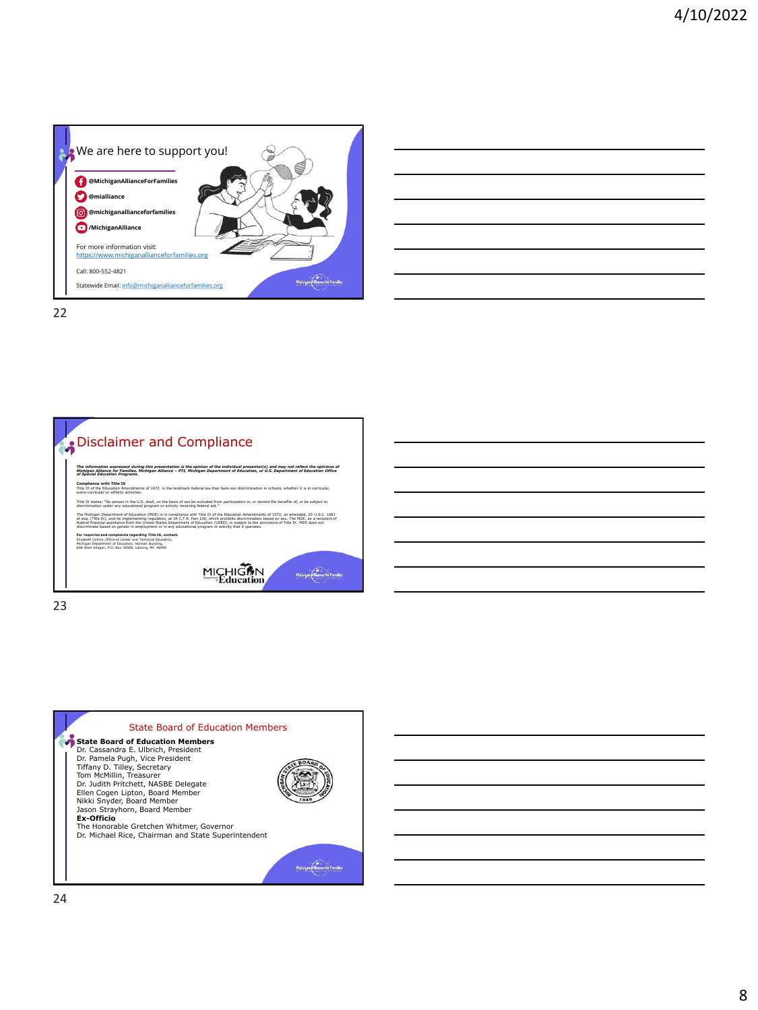

| <u> 1989 - Johann Stein, marwolaethau a bhann an t-Amhair ann an t-Amhair an t-Amhair an t-Amhair an t-Amhair an</u>   |  | <u> 1989 - Johann Barnett, fransk kongres</u> |  |
|------------------------------------------------------------------------------------------------------------------------|--|-----------------------------------------------|--|
| <u> 1989 - Andrea Barbara, amerikana amerikana amerikana amerikana amerikana amerikana amerikana amerikana amerika</u> |  |                                               |  |
| the contract of the contract of the contract of the contract of the contract of                                        |  |                                               |  |
| <u> 1989 - Johann Barbara, martxa alemaniar argamento este alemaniar alemaniar alemaniar alemaniar alemaniar a</u>     |  |                                               |  |
|                                                                                                                        |  |                                               |  |
| <u> 1989 - Johann Barbara, martxa alemaniar argamento este alemaniar alemaniar alemaniar alemaniar alemaniar al</u>    |  |                                               |  |
|                                                                                                                        |  |                                               |  |



State Board of Education Members **State Board of Education Members**<br>Dr. Cassandra E. Ulbrich, President<br>Dr. Pamela Pugh, Vice President<br>Tiffany D. Tilley, Secretary<br>Tom McMillin, Treasurer<br>Dr. Judith Pritchett, NASBE Delegate<br>Elien Cogen Lipton, Board Mem Jason Strayhorn, Board Member<br>**Ex-Officio**<br>The Honorable Gretchen Whitmer, Governor<br>Dr. Michael Rice, Chairman and State Superintendent Michigan Minnes for Families